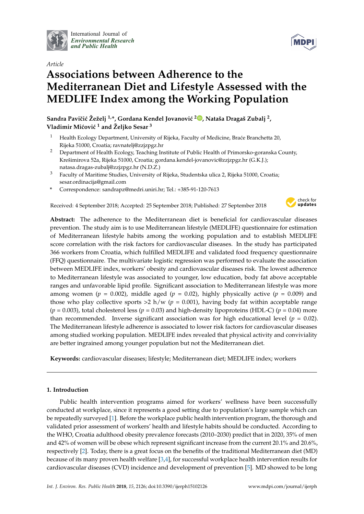

International Journal of *[Environmental Research](http://www.mdpi.com/journal/ijerph) and Public Health*



# *Article* **Associations between Adherence to the Mediterranean Diet and Lifestyle Assessed with the MEDLIFE Index among the Working Population**

 $S$ andra Pavičić Žeželj <sup>1[,](https://orcid.org/0000-0002-8694-8761)</sup>\*, Gordana Kenđel Jovanović <sup>2</sup>®, Nataša Dragaš Zubalj <sup>2</sup>, **Vladimir Mićović<sup>1</sup> and Željko Sesar<sup>3</sup>** 

- <sup>1</sup> Health Ecology Department, University of Rijeka, Faculty of Medicine, Braće Branchetta 20, Rijeka 51000, Croatia; ravnatelj@zzjzpgz.hr
- <sup>2</sup> Department of Health Ecology, Teaching Institute of Public Health of Primorsko-goranska County, Krešimirova 52a, Rijeka 51000, Croatia; gordana.kendel-jovanovic@zzjzpgz.hr (G.K.J.); natasa.dragas-zubalj@zzjzpgz.hr (N.D.Z.)
- <sup>3</sup> Faculty of Maritime Studies, University of Rijeka, Studentska ulica 2, Rijeka 51000, Croatia; sesar.ordinacija@gmail.com
- **\*** Correspondence: sandrapz@medri.uniri.hr; Tel.: +385-91-120-7613

Received: 4 September 2018; Accepted: 25 September 2018; Published: 27 September 2018



**Abstract:** The adherence to the Mediterranean diet is beneficial for cardiovascular diseases prevention. The study aim is to use Mediterranean lifestyle (MEDLIFE) questionnaire for estimation of Mediterranean lifestyle habits among the working population and to establish MEDLIFE score correlation with the risk factors for cardiovascular diseases. In the study has participated 366 workers from Croatia, which fulfilled MEDLIFE and validated food frequency questionnaire (FFQ) questionnaire. The multivariate logistic regression was performed to evaluate the association between MEDLIFE index, workers' obesity and cardiovascular diseases risk. The lowest adherence to Mediterranean lifestyle was associated to younger, low education, body fat above acceptable ranges and unfavorable lipid profile. Significant association to Mediterranean lifestyle was more among women ( $p = 0.002$ ), middle aged ( $p = 0.02$ ), highly physically active ( $p = 0.009$ ) and those who play collective sports  $>2$  h/w ( $p = 0.001$ ), having body fat within acceptable range  $(p = 0.003)$ , total cholesterol less  $(p = 0.03)$  and high-density lipoproteins (HDL-C)  $(p = 0.04)$  more than recommended. Inverse significant association was for high educational level  $(p = 0.02)$ . The Mediterranean lifestyle adherence is associated to lower risk factors for cardiovascular diseases among studied working population. MEDLIFE index revealed that physical activity and conviviality are better ingrained among younger population but not the Mediterranean diet.

**Keywords:** cardiovascular diseases; lifestyle; Mediterranean diet; MEDLIFE index; workers

# **1. Introduction**

Public health intervention programs aimed for workers' wellness have been successfully conducted at workplace, since it represents a good setting due to population's large sample which can be repeatedly surveyed [\[1\]](#page-9-0). Before the workplace public health intervention program, the thorough and validated prior assessment of workers' health and lifestyle habits should be conducted. According to the WHO, Croatia adulthood obesity prevalence forecasts (2010–2030) predict that in 2020, 35% of men and 42% of women will be obese which represent significant increase from the current 20.1% and 20.6%, respectively [\[2\]](#page-9-1). Today, there is a great focus on the benefits of the traditional Mediterranean diet (MD) because of its many proven health welfare [\[3,](#page-9-2)[4\]](#page-9-3), for successful workplace health intervention results for cardiovascular diseases (CVD) incidence and development of prevention [\[5\]](#page-9-4). MD showed to be long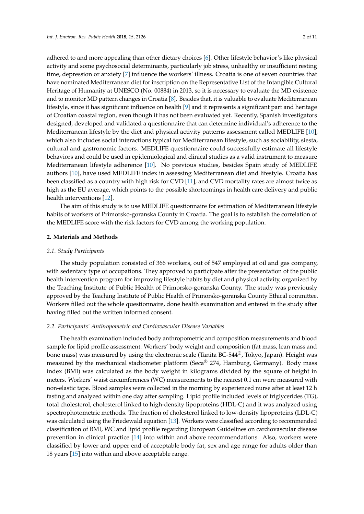adhered to and more appealing than other dietary choices [\[6\]](#page-9-5). Other lifestyle behavior's like physical activity and some psychosocial determinants, particularly job stress, unhealthy or insufficient resting time, depression or anxiety [\[7\]](#page-9-6) influence the workers' illness. Croatia is one of seven countries that have nominated Mediterranean diet for inscription on the Representative List of the Intangible Cultural Heritage of Humanity at UNESCO (No. 00884) in 2013, so it is necessary to evaluate the MD existence and to monitor MD pattern changes in Croatia [\[8\]](#page-9-7). Besides that, it is valuable to evaluate Mediterranean lifestyle, since it has significant influence on health [\[9\]](#page-9-8) and it represents a significant part and heritage of Croatian coastal region, even though it has not been evaluated yet. Recently, Spanish investigators designed, developed and validated a questionnaire that can determine individual's adherence to the Mediterranean lifestyle by the diet and physical activity patterns assessment called MEDLIFE [\[10\]](#page-9-9), which also includes social interactions typical for Mediterranean lifestyle, such as sociability, siesta, cultural and gastronomic factors. MEDLIFE questionnaire could successfully estimate all lifestyle behaviors and could be used in epidemiological and clinical studies as a valid instrument to measure Mediterranean lifestyle adherence [\[10\]](#page-9-9). No previous studies, besides Spain study of MEDLIFE authors [\[10\]](#page-9-9), have used MEDLIFE index in assessing Mediterranean diet and lifestyle. Croatia has been classified as a country with high risk for CVD [\[11\]](#page-9-10), and CVD mortality rates are almost twice as high as the EU average, which points to the possible shortcomings in health care delivery and public health interventions [\[12\]](#page-9-11).

The aim of this study is to use MEDLIFE questionnaire for estimation of Mediterranean lifestyle habits of workers of Primorsko-goranska County in Croatia. The goal is to establish the correlation of the MEDLIFE score with the risk factors for CVD among the working population.

### **2. Materials and Methods**

#### *2.1. Study Participants*

The study population consisted of 366 workers, out of 547 employed at oil and gas company, with sedentary type of occupations. They approved to participate after the presentation of the public health intervention program for improving lifestyle habits by diet and physical activity, organized by the Teaching Institute of Public Health of Primorsko-goranska County. The study was previously approved by the Teaching Institute of Public Health of Primorsko-goranska County Ethical committee. Workers filled out the whole questionnaire, done health examination and entered in the study after having filled out the written informed consent.

#### *2.2. Participants' Anthropometric and Cardiovascular Disease Variables*

The health examination included body anthropometric and composition measurements and blood sample for lipid profile assessment. Workers' body weight and composition (fat mass, lean mass and bone mass) was measured by using the electronic scale (Tanita BC-544®, Tokyo, Japan). Height was measured by the mechanical stadiometer platform (Seca® 274, Hamburg, Germany). Body mass index (BMI) was calculated as the body weight in kilograms divided by the square of height in meters. Workers' waist circumferences (WC) measurements to the nearest 0.1 cm were measured with non-elastic tape. Blood samples were collected in the morning by experienced nurse after at least 12 h fasting and analyzed within one day after sampling. Lipid profile included levels of triglycerides (TG), total cholesterol, cholesterol linked to high-density lipoproteins (HDL-C) and it was analyzed using spectrophotometric methods. The fraction of cholesterol linked to low-density lipoproteins (LDL-C) was calculated using the Friedewald equation [\[13\]](#page-9-12). Workers were classified according to recommended classification of BMI, WC and lipid profile regarding European Guidelines on cardiovascular disease prevention in clinical practice [\[14\]](#page-9-13) into within and above recommendations. Also, workers were classified by lower and upper end of acceptable body fat, sex and age range for adults older than 18 years [\[15\]](#page-9-14) into within and above acceptable range.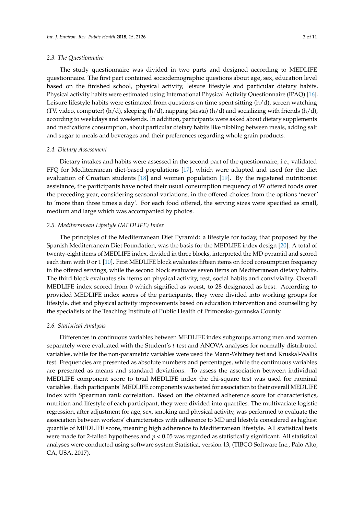#### *2.3. The Questionnaire*

The study questionnaire was divided in two parts and designed according to MEDLIFE questionnaire. The first part contained sociodemographic questions about age, sex, education level based on the finished school, physical activity, leisure lifestyle and particular dietary habits. Physical activity habits were estimated using International Physical Activity Questionnaire (IPAQ) [\[16\]](#page-9-15). Leisure lifestyle habits were estimated from questions on time spent sitting  $(h/d)$ , screen watching (TV, video, computer)  $(h/d)$ , sleeping  $(h/d)$ , napping (siesta)  $(h/d)$  and socializing with friends  $(h/d)$ , according to weekdays and weekends. In addition, participants were asked about dietary supplements and medications consumption, about particular dietary habits like nibbling between meals, adding salt and sugar to meals and beverages and their preferences regarding whole grain products.

#### *2.4. Dietary Assessment*

Dietary intakes and habits were assessed in the second part of the questionnaire, i.e., validated FFQ for Mediterranean diet-based populations [\[17\]](#page-10-0), which were adapted and used for the diet evaluation of Croatian students [\[18\]](#page-10-1) and women population [\[19\]](#page-10-2). By the registered nutritionist assistance, the participants have noted their usual consumption frequency of 97 offered foods over the preceding year, considering seasonal variations, in the offered choices from the options 'never' to 'more than three times a day'. For each food offered, the serving sizes were specified as small, medium and large which was accompanied by photos.

#### *2.5. Mediterranean Lifestyle (MEDLIFE) Index*

The principles of the Mediterranean Diet Pyramid: a lifestyle for today, that proposed by the Spanish Mediterranean Diet Foundation, was the basis for the MEDLIFE index design [\[20\]](#page-10-3). A total of twenty-eight items of MEDLIFE index, divided in three blocks, interpreted the MD pyramid and scored each item with 0 or 1 [\[10\]](#page-9-9). First MEDLIFE block evaluates fifteen items on food consumption frequency in the offered servings, while the second block evaluates seven items on Mediterranean dietary habits. The third block evaluates six items on physical activity, rest, social habits and conviviality. Overall MEDLIFE index scored from 0 which signified as worst, to 28 designated as best. According to provided MEDLIFE index scores of the participants, they were divided into working groups for lifestyle, diet and physical activity improvements based on education intervention and counselling by the specialists of the Teaching Institute of Public Health of Primorsko-goranska County.

#### *2.6. Statistical Analysis*

Differences in continuous variables between MEDLIFE index subgroups among men and women separately were evaluated with the Student's *t*-test and ANOVA analyses for normally distributed variables, while for the non-parametric variables were used the Mann-Whitney test and Kruskal-Wallis test. Frequencies are presented as absolute numbers and percentages, while the continuous variables are presented as means and standard deviations. To assess the association between individual MEDLIFE component score to total MEDLIFE index the chi-square test was used for nominal variables. Each participants' MEDLIFE components was tested for association to their overall MEDLIFE index with Spearman rank correlation. Based on the obtained adherence score for characteristics, nutrition and lifestyle of each participant, they were divided into quartiles. The multivariate logistic regression, after adjustment for age, sex, smoking and physical activity, was performed to evaluate the association between workers' characteristics with adherence to MD and lifestyle considered as highest quartile of MEDLIFE score, meaning high adherence to Mediterranean lifestyle. All statistical tests were made for 2-tailed hypotheses and  $p < 0.05$  was regarded as statistically significant. All statistical analyses were conducted using software system Statistica, version 13, (TIBCO Software Inc., Palo Alto, CA, USA, 2017).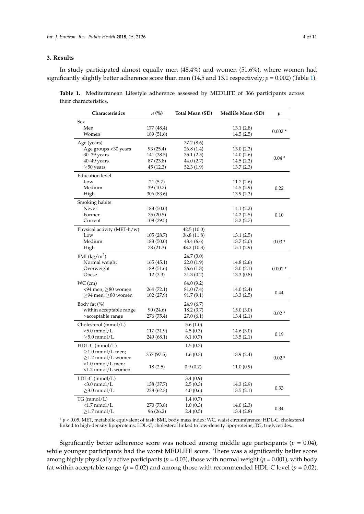# **3. Results**

In study participated almost equally men (48.4%) and women (51.6%), where women had significantly slightly better adherence score than men (14.5 and 13.1 respectively;  $p = 0.002$ ) (Table [1\)](#page-3-0).

<span id="page-3-0"></span>**Table 1.** Mediterranean Lifestyle adherence assessed by MEDLIFE of 366 participants across their characteristics.

| Characteristics                 | $n\ (\%)$  | Total Mean (SD) | Medlife Mean (SD) | $\boldsymbol{p}$ |
|---------------------------------|------------|-----------------|-------------------|------------------|
| Sex                             |            |                 |                   |                  |
| Men                             | 177 (48.4) |                 | 13.1(2.8)         |                  |
| Women                           | 189 (51.6) |                 | 14.5(2.5)         | $0.002*$         |
| Age (years)                     |            | 37.2 (8.6)      |                   |                  |
| Age groups <30 years            | 93 (25.4)  | 26.8(1.4)       | 13.0(2.3)         |                  |
| 30–39 years                     | 141 (38.5) | 35.1(2.5)       | 14.0(2.6)         |                  |
| $40 - 49$ years                 | 87 (23.8)  | 44.0 (2.7)      | 14.5(2.2)         | $0.04*$          |
| $\geq$ 50 years                 | 45 (12.3)  | 52.3 (1.9)      | 13.7(2.3)         |                  |
| <b>Education</b> level          |            |                 |                   |                  |
| Low                             | 21(5.7)    |                 | 11.7(2.6)         |                  |
| Medium                          | 39 (10.7)  |                 | 14.5(2.9)         | 0.22             |
| High                            | 306 (83.6) |                 | 13.9(2.3)         |                  |
| Smoking habits                  |            |                 |                   |                  |
| Never                           | 183(50.0)  |                 | 14.1(2.2)         |                  |
| Former                          | 75(20.5)   |                 | 14.2(2.5)         | 0.10             |
| Current                         | 108 (29.5) |                 | 13.2(2.7)         |                  |
| Physical activity (MET- $h/w$ ) |            | 42.5(10.0)      |                   |                  |
| Low                             | 105(28.7)  | 36.8 (11.8)     | 13.1(2.5)         |                  |
| Medium                          | 183(50.0)  | 43.4(6.6)       | 13.7(2.0)         | $0.03*$          |
| High                            | 78 (21.3)  | 48.2 (10.3)     | 15.1(2.9)         |                  |
| BMI $(kg/m^2)$                  |            | 24.7 (3.0)      |                   |                  |
| Normal weight                   | 165(45.1)  | 22.0(1.9)       | 14.8(2.6)         |                  |
| Overweight                      | 189 (51.6) | 26.6 (1.3)      | 13.0(2.1)         | $0.001*$         |
| Obese                           | 12(3.3)    | 31.3(0.2)       | 13.3(0.8)         |                  |
| $WC$ (cm)                       |            | 84.0 (9.2)      |                   |                  |
| $<94$ men; $\geq 80$ women      | 264 (72.1) | 81.0 (7.4)      | 14.0(2.4)         |                  |
| $>94$ men; $>80$ women          | 102 (27.9) | 91.7(9.1)       | 13.3(2.5)         | 0.44             |
| Body fat $(\% )$                |            | 24.9 (6.7)      |                   |                  |
| within acceptable range         | 90 (24.6)  | 18.2(3.7)       | 15.0(3.0)         |                  |
| >acceptable range               | 276 (75.4) | 27.0 (6.1)      | 13.4(2.1)         | $0.02*$          |
| Cholesterol (mmol/L)            |            | 5.6(1.0)        |                   |                  |
| $< 5.0$ mmol/L                  | 117 (31.9) | 4.5(0.3)        | 14.6(3.0)         |                  |
| $>5.0$ mmol/L                   | 249 (68.1) | 6.1(0.7)        | 13.5(2.1)         | 0.19             |
| $HDL-C$ (mmol/L)                |            | 1.5(0.3)        |                   |                  |
| $>1.0$ mmol/L men;              |            |                 |                   |                  |
| $\geq$ 1.2 mmol/L women         | 357 (97.5) | 1.6(0.3)        | 13.9(2.4)         | $0.02*$          |
| $<$ 1.0 mmol/L men;             |            |                 |                   |                  |
| <1.2 mmol/L women               | 18(2.5)    | 0.9(0.2)        | 11.0(0.9)         |                  |
| $LDL-C (mmol/L)$                |            | 3.4(0.9)        |                   |                  |
| $<$ 3.0 mmol/L                  | 138 (37.7) | 2.5(0.3)        | 14.3(2.9)         |                  |
| $\geq$ 3.0 mmol/L               | 228 (62.3) | 4.0(0.6)        | 13.5(2.1)         | 0.33             |
| $TG \, (mmol/L)$                |            | 1.4(0.7)        |                   |                  |
| $<$ 1.7 mmol/L                  | 270 (73.8) | 1.0(0.3)        | 14.0(2.3)         |                  |
| $>1.7$ mmol/L                   | 96(26.2)   | 2.4(0.5)        | 13.4(2.8)         | 0.34             |

\* *p* < 0.05. MET, metabolic equivalent of task; BMI, body mass index; WC, waist circumference; HDL-C, cholesterol linked to high-density lipoproteins; LDL-C, cholesterol linked to low-density lipoproteins; TG, triglycerides.

Significantly better adherence score was noticed among middle age participants ( $p = 0.04$ ), while younger participants had the worst MEDLIFE score. There was a significantly better score among highly physically active participants ( $p = 0.03$ ), those with normal weight ( $p = 0.001$ ), with body fat within acceptable range ( $p = 0.02$ ) and among those with recommended HDL-C level ( $p = 0.02$ ).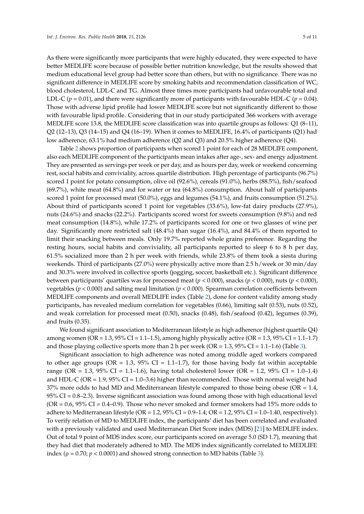As there were significantly more participants that were highly educated, they were expected to have better MEDLIFE score because of possible better nutrition knowledge, but the results showed that medium educational level group had better score than others, but with no significance. There was no significant difference in MEDLIFE score by smoking habits and recommendation classification of WC, blood cholesterol, LDL-C and TG. Almost three times more participants had unfavourable total and LDL-C ( $p = 0.01$ ), and there were significantly more of participants with favourable HDL-C ( $p = 0.04$ ). Those with adverse lipid profile had lower MEDLIFE score but not significantly different to those with favourable lipid profile. Considering that in our study participated 366 workers with average MEDLIFE score 13.8, the MEDLIFE score classification was into quartile groups as follows: Q1 (8–11), Q2 (12–13), Q3 (14–15) and Q4 (16–19). When it comes to MEDLIFE, 16.4% of participants (Q1) had low adherence, 63.1% had medium adherence (Q2 and Q3) and 20.5% higher adherence (Q4).

Table [2](#page-5-0) shows proportion of participants when scored 1 point for each of 28 MEDLIFE component, also each MEDLIFE component of the participants mean intakes after age-, sex- and energy adjustment. They are presented as servings per week or per day, and as hours per day, week or weekend concerning rest, social habits and conviviality, across quartile distribution. High percentage of participants (96.7%) scored 1 point for potato consumption, olive oil (92.6%), cereals (91.0%), herbs (88.5%), fish/seafood (69.7%), white meat (64.8%) and for water or tea (64.8%) consumption. About half of participants scored 1 point for processed meat (50.0%), eggs and legumes (54.1%), and fruits consumption (51.2%). About third of participants scored 1 point for vegetables (33.6%), low-fat dairy products (27.9%), nuts (24.6%) and snacks (22.2%). Participants scored worst for sweets consumption (9.8%) and red meat consumption (14.8%), while 17.2% of participants scored for one or two glasses of wine per day. Significantly more restricted salt (48.4%) than sugar (16.4%), and 84.4% of them reported to limit their snacking between meals. Only 19.7% reported whole grains preference. Regarding the resting hours, social habits and conviviality, all participants reported to sleep 6 to 8 h per day, 61.5% socialized more than 2 h per week with friends, while 23.8% of them took a siesta during weekends. Third of participants (27.0%) were physically active more than 2.5 h/week or 30 min/day and 30.3% were involved in collective sports (jogging, soccer, basketball etc.). Significant difference between participants' quartiles was for processed meat (*p* < 0.000), snacks (*p* < 0.000), nuts (*p* < 0.000), vegetables (*p* < 0.000) and salting meal limitation (*p* < 0.000). Spearman correlation coefficients between MEDLIFE components and overall MEDLIFE index (Table [2\)](#page-5-0), done for content validity among study participants, has revealed medium correlation for vegetables (0.66), limiting salt (0.53), nuts (0.52), and weak correlation for processed meat (0.50), snacks (0.48), fish/seafood (0.42), legumes (0.39), and fruits (0.35).

We found significant association to Mediterranean lifestyle as high adherence (highest quartile Q4) among women (OR = 1.3, 95% CI = 1.1–1.5), among highly physically active (OR = 1.3, 95% CI = 1.1–1.7) and those playing collective sports more than 2 h per week (OR =  $1.3$ ,  $95\%$  CI =  $1.1$ – $1.6$ ) (Table [3\)](#page-6-0).

Significant association to high adherence was noted among middle aged workers compared to other age groups (OR = 1.3, 95% CI = 1.1–1.7), for those having body fat within acceptable range (OR = 1.3, 95% CI = 1.1–1.6), having total cholesterol lower (OR = 1.2, 95% CI = 1.0–1.4) and HDL-C (OR =  $1.9$ ,  $95\%$  CI =  $1.0-3.6$ ) higher than recommended. Those with normal weight had 37% more odds to had MD and Mediterranean lifestyle compared to those being obese (OR  $= 1.4$ , 95% CI = 0.8–2.3). Inverse significant association was found among those with high educational level  $(OR = 0.6, 95\% CI = 0.4-0.9)$ . Those who never smoked and former smokers had 15% more odds to adhere to Mediterranean lifestyle (OR = 1.2,  $95\%$  CI = 0.9–1.4; OR = 1.2,  $95\%$  CI = 1.0–1.40, respectively). To verify relation of MD to MEDLIFE index, the participants' diet has been correlated and evaluated with a previously validated and used Mediterranean Diet Score index (MDS) [\[21\]](#page-10-4) to MEDLIFE index. Out of total 9 point of MDS index score, our participants scored on average 5.0 (SD 1.7), meaning that they had diet that moderately adhered to MD. The MDS index significantly correlated to MEDLIFE index ( $\rho = 0.70$ ;  $p < 0.0001$ ) and showed strong connection to MD habits (Table [3\)](#page-6-0).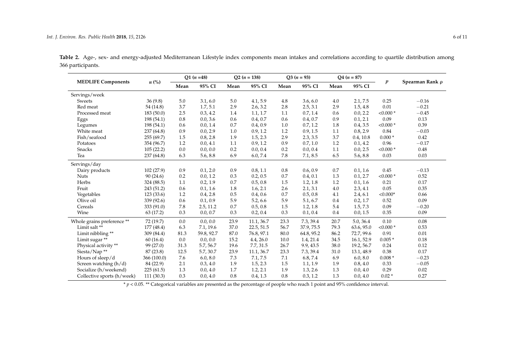| <b>MEDLIFE Components</b>  | $n\left(\%\right)$ | $Q1(n=48)$ |            | $Q2 (n = 138)$ |            | $O3 (n = 93)$ |            | $Q4 (n = 87)$ |            |                  |                 |
|----------------------------|--------------------|------------|------------|----------------|------------|---------------|------------|---------------|------------|------------------|-----------------|
|                            |                    | Mean       | 95% CI     | Mean           | 95% CI     | Mean          | 95% CI     | Mean          | 95% CI     | $\boldsymbol{p}$ | Spearman Rank ρ |
| Servings/week              |                    |            |            |                |            |               |            |               |            |                  |                 |
| Sweets                     | 36(9.8)            | $5.0\,$    | 3.1, 6.0   | 5.0            | 4.1, 5.9   | 4.8           | 3.6, 6.0   | 4.0           | 2.1, 7.5   | 0.25             | $-0.16$         |
| Red meat                   | 54 (14.8)          | 3.7        | 1.7, 5.1   | 2.9            | 2.6, 3.2   | 2.8           | 2.5, 3.1   | 2.9           | 1.5, 4.8   | 0.01             | $-0.21$         |
| Processed meat             | 183(50.0)          | 2.5        | 0.3, 4.2   | 1.4            | 1.1, 1.7   | 1.1           | 0.7, 1.4   | 0.6           | 0.0, 2.2   | $< 0.000*$       | $-0.45$         |
| Eggs                       | 198 (54.1)         | 0.8        | 0.0, 3.6   | 0.6            | 0.4, 0.7   | 0.6           | 0.4, 0.7   | 0.9           | 0.1, 2.1   | 0.09             | 0.13            |
| Legumes                    | 198(54.1)          | 0.6        | 0.0, 1.4   | 0.7            | 0.4, 0.9   | 1.0           | 0.7, 1.2   | 1.8           | 0.4, 3.5   | $< 0.000*$       | 0.39            |
| White meat                 | 237 (64.8)         | 0.9        | 0.0, 2.9   | 1.0            | 0.9, 1.2   | 1.2           | 0.9, 1.5   | 1.1           | 0.8, 2.9   | 0.84             | $-0.03$         |
| Fish/seafood               | 255(69.7)          | 1.5        | 0.8, 2.8   | 1.9            | 1.5, 2.3   | 2.9           | 2.3, 3.5   | 3.7           | 0.4, 10.8  | $0.000*$         | 0.42            |
| Potatoes                   | 354 (96.7)         | 1.2        | 0.0, 4.1   | 1.1            | 0.9, 1.2   | 0.9           | 0.7, 1.0   | 1.2           | 0.1, 4.2   | 0.96             | $-0.17$         |
| Snacks                     | 105(22.2)          | $0.0\,$    | 0.0, 0.0   | 0.2            | 0.0, 0.4   | $0.2\,$       | 0.0, 0.4   | 1.1           | 0.0, 2.5   | $< 0.000*$       | $0.48\,$        |
| Tea                        | 237 (64.8)         | 6.3        | 5.6, 8.8   | 6.9            | 6.0, 7.4   | 7.8           | 7.1, 8.5   | 6.5           | 5.6, 8.8   | 0.03             | 0.03            |
| Servings/day               |                    |            |            |                |            |               |            |               |            |                  |                 |
| Dairy products             | 102(27.9)          | 0.9        | 0.1, 2.0   | 0.9            | 0.8, 1.1   | 0.8           | 0.6, 0.9   | 0.7           | 0.1, 1.6   | 0.45             | $-0.13$         |
| <b>Nuts</b>                | 90(24.6)           | 0.2        | 0.0, 1.2   | 0.3            | 0.2, 0.5   | 0.7           | 0.4, 0.1   | 1.3           | 0.1, 2.7   | $< 0.000*$       | 0.52            |
| Herbs                      | 324 (88.5)         | 1.1        | 0.2, 1.9   | 0.7            | 0.5, 0.8   | 1.5           | 1.2, 1.8   | $1.2\,$       | 0.1, 1.6   | 0.21             | 0.17            |
| Fruit                      | 243 (51.2)         | 0.6        | 0.1, 1.6   | 1.8            | 1.6, 2.1   | 2.6           | 2.1, 3.1   | $4.0\,$       | 2.3, 4.1   | 0.05             | 0.35            |
| Vegetables                 | 123(33.6)          | 1.2        | 0.4, 2.8   | 0.5            | 0.4, 0.6   | 0.7           | 0.5, 0.8   | 4.1           | 2.4, 6.1   | $< 0.000*$       | 0.66            |
| Olive oil                  | 339 (92.6)         | 0.6        | 0.1, 0.9   | 5.9            | 5.2, 6.6   | 5.9           | 5.1, 6.7   | 0.4           | 0.2, 1.7   | 0.52             | 0.09            |
| Cereals                    | 333 (91.0)         | 7.8        | 2.5, 11.2  | 0.7            | 0.5, 0.8   | 1.5           | 1.2, 1.8   | 5.4           | 1.5, 7.3   | 0.09             | $-0.20$         |
| Wine                       | 63 (17.2)          | 0.3        | 0.0, 0.7   | 0.3            | 0.2, 0.4   | 0.3           | 0.1, 0.4   | 0.4           | 0.0, 1.5   | 0.35             | 0.09            |
| Whole grains preference ** | 72 (19.7)          | $0.0\,$    | 0.0, 0.0   | 23.9           | 11.1, 36.7 | 23.3          | 7.3, 39.4  | 20.7          | 5.0, 36.4  | 0.10             | 0.08            |
| Limit salt **              | 177 (48.4)         | 6.3        | 7.1, 19.6  | 37.0           | 22.5, 51.5 | 56.7          | 37.9, 75.5 | 79.3          | 63.6, 95.0 | $< 0.000*$       | 0.53            |
| Limit nibbling **          | 309 (84.4)         | 81.3       | 59.8, 92.7 | 87.0           | 76.8, 97.1 | 80.0          | 64.8, 95.2 | 86.2          | 72.7, 99.6 | 0.91             | 0.01            |
| Limit sugar **             | 60(16.4)           | 0.0        | 0.0, 0.0   | 15.2           | 4.4, 26.0  | 10.0          | 1.4, 21.4  | 34.5          | 16.1, 52.9 | $0.005*$         | 0.18            |
| Physical activity **       | 99 (27.0)          | 31.3       | 5.7, 56.7  | 19.6           | 7.7, 31.5  | 26.7          | 9.9, 43.5  | 38.0          | 19.2, 56.7 | 0.24             | 0.12            |
| Siesta/Nap <sup>**</sup>   | 87 (23.8)          | 12.5       | 5.7, 30.7  | 23.9           | 11.1, 36.7 | 23.3          | 7.3, 39.4  | 31.0          | 13.1, 48.9 | 0.38             | 0.17            |
| Hours of sleep/d           | 366 (100.0)        | 7.6        | 6.0, 8.0   | 7.3            | 7.1, 7.5   | 7.1           | 6.8, 7.4   | 6.9           | 6.0, 8.0   | $0.008*$         | $-0.23$         |
| Screen watching (h/d)      | 84 (22.9)          | 2.1        | 0.3, 4.0   | 1.9            | 1.5, 2.3   | 1.5           | 1.1, 1.9   | 1.9           | 0.8, 4.0   | 0.33             | $-0.05$         |
| Socialize (h/weekend)      | 225(61.5)          | 1.3        | 0.0, 4.0   | 1.7            | 1.2, 2.1   | 1.9           | 1.3, 2.6   | 1.3           | 0.0, 4.0   | 0.29             | 0.02            |
| Collective sports (h/week) | 111(30.3)          | 0.3        | 0.0, 4.0   | 0.8            | 0.4, 1.3   | 0.8           | 0.3, 1.2   | 1.3           | 0.0, 4.0   | $0.02*$          | 0.27            |

**Table 2.** Age-, sex- and energy-adjusted Mediterranean Lifestyle index components mean intakes and correlations according to quartile distribution among 366 participants.

<span id="page-5-0"></span>\* *p* < 0.05. \*\* Categorical variables are presented as the percentage of people who reach 1 point and 95% confidence interval.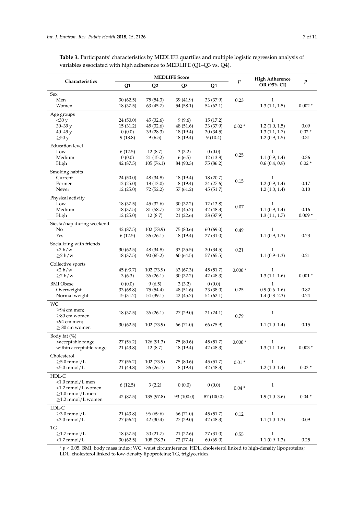|                                      |           |                | <b>MEDLIFE</b> Score |                | <b>High Adherence</b> |                |                  |
|--------------------------------------|-----------|----------------|----------------------|----------------|-----------------------|----------------|------------------|
| Characteristics                      | Q1        | Q <sub>2</sub> | Q <sub>3</sub>       | Q <sub>4</sub> | $\boldsymbol{p}$      | OR (95% CI)    | $\boldsymbol{p}$ |
| Sex                                  |           |                |                      |                |                       |                |                  |
| Men                                  | 30(62.5)  | 75 (54.3)      | 39 (41.9)            | 33 (37.9)      | 0.23                  | $\mathbf{1}$   |                  |
| Women                                | 18 (37.5) | 63(45.7)       | 54(58.1)             | 54(62.1)       |                       | 1.3(1.1, 1.5)  | $0.002*$         |
| Age groups                           |           |                |                      |                |                       |                |                  |
| $<$ 30 y                             | 24(50.0)  | 45(32.6)       | 9(9.6)               | 15(17.2)       |                       | $\mathbf{1}$   |                  |
| $30 - 39y$                           | 15(31.2)  | 45(32.6)       | 48 (51.6)            | 33 (37.9)      | $0.02*$               | 1.2(1.0, 1.5)  | 0.09             |
| $40 - 49y$                           | 0(0.0)    | 39(28.3)       | 18 (19.4)            | 30(34.5)       |                       | 1.3(1.1, 1.7)  | $0.02*$          |
| $\geq 50$ y                          | 9(18.8)   | 9(6.5)         | 18 (19.4)            | 9(10.4)        |                       | 1.2(0.9, 1.5)  | 0.31             |
| <b>Education</b> level               |           |                |                      |                |                       |                |                  |
| Low                                  | 6(12.5)   | 12(8.7)        | 3(3.2)               | 0(0.0)         |                       | $\mathbf{1}$   |                  |
| Medium                               | 0(0.0)    | 21(15.2)       | 6(6.5)               | 12(13.8)       | 0.25                  | 1.1(0.9, 1.4)  | 0.36             |
| High                                 | 42 (87.5) | 105(76.1)      | 84 (90.3)            | 75 (86.2)      |                       | 0.6(0.4, 0.9)  | $0.02*$          |
| Smoking habits                       |           |                |                      |                |                       |                |                  |
| Current                              | 24(50.0)  | 48 (34.8)      | 18 (19.4)            | 18 (20.7)      | 0.15                  | $\mathbf{1}$   |                  |
| Former                               | 12(25.0)  | 18(13.0)       | 18 (19.4)            | 24 (27.6)      |                       | 1.2(0.9, 1.4)  | 0.17             |
| Never                                | 12(25.0)  | 72 (52.2)      | 57(61.2)             | 45 (51.7)      |                       | 1.2(1.0, 1.4)  | 0.10             |
| Physical activity                    |           |                |                      |                |                       |                |                  |
| Low                                  | 18 (37.5) | 45(32.6)       | 30(32.2)             | 12(13.8)       | 0.07                  | $\mathbf{1}$   |                  |
| Medium                               | 18 (37.5) | 81 (58.7)      | 42(45.2)             | 42 (48.3)      |                       | 1.1(0.9, 1.4)  | 0.16             |
| High                                 | 12(25.0)  | 12(8.7)        | 21(22.6)             | 33 (37.9)      |                       | 1.3(1.1, 1.7)  | $0.009*$         |
| Siesta/nap during weekend            |           |                |                      |                |                       |                |                  |
| No                                   | 42 (87.5) | 102 (73.9)     | 75 (80.6)            | 60(69.0)       | 0.49                  | $\mathbf{1}$   |                  |
| Yes                                  | 6(12.5)   | 36(26.1)       | 18 (19.4)            | 27(31.0)       |                       | 1.1(0.9, 1.3)  | 0.23             |
| Socializing with friends             |           |                |                      |                |                       |                |                  |
| <2 h/w                               | 30(62.5)  | 48 (34.8)      | 33(35.5)             | 30(34.5)       | 0.21                  | $\mathbf{1}$   |                  |
| >2 h/w                               | 18 (37.5) | 90(65.2)       | 60(64.5)             | 57(65.5)       |                       | $1.1(0.9-1.3)$ | 0.21             |
| Collective sports                    |           |                |                      |                |                       |                |                  |
| <2 h/w                               | 45 (93.7) | 102 (73.9)     | 63 (67.3)            | 45(51.7)       | $0.000*$              | $\mathbf{1}$   |                  |
| $\geq$ 2 h/w                         | 3(6.3)    | 36(26.1)       | 30(32.2)             | 42 (48.3)      |                       | $1.3(1.1-1.6)$ | $0.001*$         |
| <b>BMI</b> Obese                     | 0(0.0)    | 9(6.5)         | 3(3.2)               | 0(0.0)         |                       | $\mathbf{1}$   |                  |
| Overweight                           | 33 (68.8) | 75 (54.4)      | 48 (51.6)            | 33 (38.0)      | 0.25                  | $0.9(0.6-1.6)$ | 0.82             |
| Normal weight                        | 15(31.2)  | 54 (39.1)      | 42(45.2)             | 54(62.1)       |                       | $1.4(0.8-2.3)$ | 0.24             |
| WC                                   |           |                |                      |                |                       |                |                  |
| $\geq$ 94 cm men;                    | 18 (37.5) | 36(26.1)       | 27(29.0)             | 21(24.1)       |                       | $\mathbf{1}$   |                  |
| $\geq$ 80 cm women                   |           |                |                      |                | 0.79                  |                |                  |
| <94 cm men;<br>$\geq 80$ cm women    | 30(62.5)  | 102 (73.9)     | 66 (71.0)            | 66 (75.9)      |                       | $1.1(1.0-1.4)$ | 0.15             |
|                                      |           |                |                      |                |                       |                |                  |
| Body fat $(\%)$<br>>acceptable range | 27(56.2)  | 126(91.3)      | 75 (80.6)            | 45 (51.7)      | $0.000*$              | $\mathbf{1}$   |                  |
| within acceptable range              | 21 (43.8) | 12(8.7)        | 18 (19.4)            | 42 (48.3)      |                       | $1.3(1.1-1.6)$ | $0.003*$         |
|                                      |           |                |                      |                |                       |                |                  |
| Cholesterol<br>$\geq$ 5.0 mmol/L     | 27(56.2)  | 102 (73.9)     | 75 (80.6)            | 45 (51.7)      | $0.01 *$              | $\mathbf{1}$   |                  |
| $< 5.0$ mmol/L                       | 21(43.8)  | 36(26.1)       | 18 (19.4)            | 42 (48.3)      |                       | $1.2(1.0-1.4)$ | $0.03*$          |
| $HDL-C$                              |           |                |                      |                |                       |                |                  |
| $<$ 1.0 mmol/L men                   |           |                |                      |                |                       |                |                  |
| <1.2 mmol/L women                    | 6(12.5)   | 3(2.2)         | 0(0.0)               | 0(0.0)         | $0.04*$               | $\mathbf{1}$   |                  |
| $\geq$ 1.0 mmol/L men                |           |                |                      |                |                       |                |                  |
| $>1.2$ mmol/L women                  | 42 (87.5) | 135 (97.8)     | 93 (100.0)           | 87 (100.0)     |                       | $1.9(1.0-3.6)$ | $0.04*$          |
| LDL-C                                |           |                |                      |                |                       |                |                  |
| $>3.0$ mmol/L                        | 21(43.8)  | 96 (69.6)      | 66 (71.0)            | 45 (51.7)      | 0.12                  | $\mathbf{1}$   |                  |
| $<$ 3.0 mmol/L                       | 27(56.2)  | 42(30.4)       | 27(29.0)             | 42 (48.3)      |                       | $1.1(1.0-1.3)$ | 0.09             |
| TG                                   |           |                |                      |                |                       |                |                  |
| $\geq$ 1.7 mmol/L                    | 18 (37.5) | 30(21.7)       | 21(22.6)             | 27(31.0)       | 0.55                  | $\mathbf{1}$   |                  |
| $<$ 1.7 mmol/L                       | 30(62.5)  | 108 (78.3)     | 72 (77.4)            | 60(69.0)       |                       | $1.1(0.9-1.3)$ | 0.25             |

<span id="page-6-0"></span>**Table 3.** Participants' characteristics by MEDLIFE quartiles and multiple logistic regression analysis of variables associated with high adherence to MEDLIFE (Q1–Q3 vs. Q4).

\* *p* < 0.05. BMI, body mass index; WC, waist circumference; HDL, cholesterol linked to high-density lipoproteins; LDL, cholesterol linked to low-density lipoproteins; TG, triglycerides.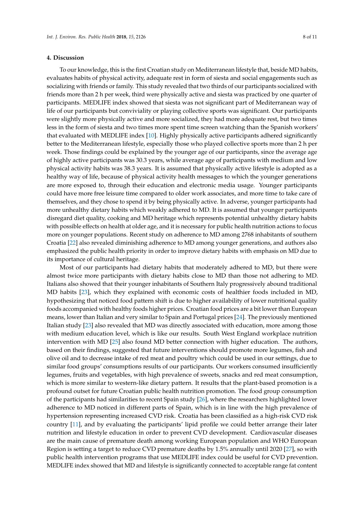#### **4. Discussion**

To our knowledge, this is the first Croatian study on Mediterranean lifestyle that, beside MD habits, evaluates habits of physical activity, adequate rest in form of siesta and social engagements such as socializing with friends or family. This study revealed that two thirds of our participants socialized with friends more than 2 h per week, third were physically active and siesta was practiced by one quarter of participants. MEDLIFE index showed that siesta was not significant part of Mediterranean way of life of our participants but conviviality or playing collective sports was significant. Our participants were slightly more physically active and more socialized, they had more adequate rest, but two times less in the form of siesta and two times more spent time screen watching than the Spanish workers' that evaluated with MEDLIFE index [\[10\]](#page-9-9). Highly physically active participants adhered significantly better to the Mediterranean lifestyle, especially those who played collective sports more than 2 h per week. Those findings could be explained by the younger age of our participants, since the average age of highly active participants was 30.3 years, while average age of participants with medium and low physical activity habits was 38.3 years. It is assumed that physically active lifestyle is adopted as a healthy way of life, because of physical activity health messages to which the younger generations are more exposed to, through their education and electronic media usage. Younger participants could have more free leisure time compared to older work associates, and more time to take care of themselves, and they chose to spend it by being physically active. In adverse, younger participants had more unhealthy dietary habits which weakly adhered to MD. It is assumed that younger participants disregard diet quality, cooking and MD heritage which represents potential unhealthy dietary habits with possible effects on health at older age, and it is necessary for public health nutrition actions to focus more on younger populations. Recent study on adherence to MD among 2768 inhabitants of southern Croatia [\[22\]](#page-10-5) also revealed diminishing adherence to MD among younger generations, and authors also emphasized the public health priority in order to improve dietary habits with emphasis on MD due to its importance of cultural heritage.

Most of our participants had dietary habits that moderately adhered to MD, but there were almost twice more participants with dietary habits close to MD than those not adhering to MD. Italians also showed that their younger inhabitants of Southern Italy progressively abound traditional MD habits [\[23\]](#page-10-6), which they explained with economic costs of healthier foods included in MD, hypothesizing that noticed food pattern shift is due to higher availability of lower nutritional quality foods accompanied with healthy foods higher prices. Croatian food prices are a bit lower than European means, lower than Italian and very similar to Spain and Portugal prices [\[24\]](#page-10-7). The previously mentioned Italian study [\[23\]](#page-10-6) also revealed that MD was directly associated with education, more among those with medium education level, which is like our results. South West England workplace nutrition intervention with MD [\[25\]](#page-10-8) also found MD better connection with higher education. The authors, based on their findings, suggested that future interventions should promote more legumes, fish and olive oil and to decrease intake of red meat and poultry which could be used in our settings, due to similar food groups' consumptions results of our participants. Our workers consumed insufficiently legumes, fruits and vegetables, with high prevalence of sweets, snacks and red meat consumption, which is more similar to western-like dietary pattern. It results that the plant-based promotion is a profound outset for future Croatian public health nutrition promotion. The food group consumption of the participants had similarities to recent Spain study [\[26\]](#page-10-9), where the researchers highlighted lower adherence to MD noticed in different parts of Spain, which is in line with the high prevalence of hypertension representing increased CVD risk. Croatia has been classified as a high-risk CVD risk country [\[11\]](#page-9-10), and by evaluating the participants' lipid profile we could better arrange their later nutrition and lifestyle education in order to prevent CVD development. Cardiovascular diseases are the main cause of premature death among working European population and WHO European Region is setting a target to reduce CVD premature deaths by 1.5% annually until 2020 [\[27\]](#page-10-10), so with public health intervention programs that use MEDLIFE index could be useful for CVD prevention. MEDLIFE index showed that MD and lifestyle is significantly connected to acceptable range fat content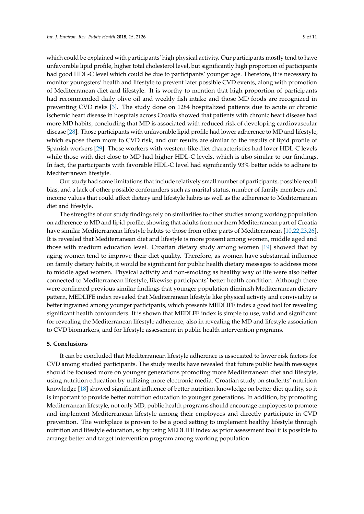which could be explained with participants' high physical activity. Our participants mostly tend to have unfavorable lipid profile, higher total cholesterol level, but significantly high proportion of participants had good HDL-C level which could be due to participants' younger age. Therefore, it is necessary to monitor youngsters' health and lifestyle to prevent later possible CVD events, along with promotion of Mediterranean diet and lifestyle. It is worthy to mention that high proportion of participants had recommended daily olive oil and weekly fish intake and those MD foods are recognized in preventing CVD risks [\[3\]](#page-9-2). The study done on 1284 hospitalized patients due to acute or chronic ischemic heart disease in hospitals across Croatia showed that patients with chronic heart disease had more MD habits, concluding that MD is associated with reduced risk of developing cardiovascular disease [\[28\]](#page-10-11). Those participants with unfavorable lipid profile had lower adherence to MD and lifestyle, which expose them more to CVD risk, and our results are similar to the results of lipid profile of Spanish workers [\[29\]](#page-10-12). Those workers with western-like diet characteristics had lover HDL-C levels while those with diet close to MD had higher HDL-C levels, which is also similar to our findings. In fact, the participants with favorable HDL-C level had significantly 93% better odds to adhere to Mediterranean lifestyle.

Our study had some limitations that include relatively small number of participants, possible recall bias, and a lack of other possible confounders such as marital status, number of family members and income values that could affect dietary and lifestyle habits as well as the adherence to Mediterranean diet and lifestyle.

The strengths of our study findings rely on similarities to other studies among working population on adherence to MD and lipid profile, showing that adults from northern Mediterranean part of Croatia have similar Mediterranean lifestyle habits to those from other parts of Mediterranean [\[10,](#page-9-9)[22,](#page-10-5)[23,](#page-10-6)[26\]](#page-10-9). It is revealed that Mediterranean diet and lifestyle is more present among women, middle aged and those with medium education level. Croatian dietary study among women [\[19\]](#page-10-2) showed that by aging women tend to improve their diet quality. Therefore, as women have substantial influence on family dietary habits, it would be significant for public health dietary messages to address more to middle aged women. Physical activity and non-smoking as healthy way of life were also better connected to Mediterranean lifestyle, likewise participants' better health condition. Although there were confirmed previous similar findings that younger population diminish Mediterranean dietary pattern, MEDLIFE index revealed that Mediterranean lifestyle like physical activity and conviviality is better ingrained among younger participants, which presents MEDLIFE index a good tool for revealing significant health confounders. It is shown that MEDLFE index is simple to use, valid and significant for revealing the Mediterranean lifestyle adherence, also in revealing the MD and lifestyle association to CVD biomarkers, and for lifestyle assessment in public health intervention programs.

#### **5. Conclusions**

It can be concluded that Mediterranean lifestyle adherence is associated to lower risk factors for CVD among studied participants. The study results have revealed that future public health messages should be focused more on younger generations promoting more Mediterranean diet and lifestyle, using nutrition education by utilizing more electronic media. Croatian study on students' nutrition knowledge [\[18\]](#page-10-1) showed significant influence of better nutrition knowledge on better diet quality, so it is important to provide better nutrition education to younger generations. In addition, by promoting Mediterranean lifestyle, not only MD, public health programs should encourage employees to promote and implement Mediterranean lifestyle among their employees and directly participate in CVD prevention. The workplace is proven to be a good setting to implement healthy lifestyle through nutrition and lifestyle education, so by using MEDLIFE index as prior assessment tool it is possible to arrange better and target intervention program among working population.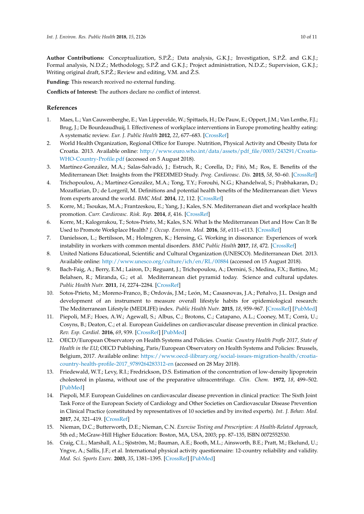**Author Contributions:** Conceptualization, S.P.Ž.; Data analysis, G.K.J.; Investigation, S.P.Ž. and G.K.J.; Formal analysis, N.D.Z.; Methodology, S.P.Ž and G.K.J.; Project administration, N.D.Z.; Supervision, G.K.J.; Writing original draft, S.P.Ž.; Review and editing, V.M. and Ž.S.

**Funding:** This research received no external funding.

**Conflicts of Interest:** The authors declare no conflict of interest.

# **References**

- <span id="page-9-0"></span>1. Maes, L.; Van Cauwenberghe, E.; Van Lippevelde, W.; Spittaels, H.; De Pauw, E.; Oppert, J.M.; Van Lenthe, F.J.; Brug, J.; De Bourdeaudhuij, I. Effectiveness of workplace interventions in Europe promoting healthy eating: A systematic review. *Eur. J. Public Health* **2012**, *22*, 677–683. [\[CrossRef\]](http://dx.doi.org/10.1093/eurpub/ckr098)
- <span id="page-9-1"></span>2. World Health Organization, Regional Office for Europe. Nutrition, Physical Activity and Obesity Data for Croatia. 2013. Available online: [http://www.euro.who.int/data/assets/pdf\\_file/0003/243291/Croatia-](http://www.euro.who.int/data/assets/pdf_file/0003/243291/Croatia-WHO-Country-Profile.pdf)[WHO-Country-Profile.pdf](http://www.euro.who.int/data/assets/pdf_file/0003/243291/Croatia-WHO-Country-Profile.pdf) (accessed on 5 August 2018).
- <span id="page-9-2"></span>3. Martínez-González, M.A.; Salas-Salvadó, J.; Estruch, R.; Corella, D.; Fitó, M.; Ros, E. Benefits of the Mediterranean Diet: Insights from the PREDIMED Study. *Prog. Cardiovasc. Dis.* **2015**, *58*, 50–60. [\[CrossRef\]](http://dx.doi.org/10.1016/j.pcad.2015.04.003)
- <span id="page-9-3"></span>4. Trichopoulou, A.; Martínez-González, M.A.; Tong, T.Y.; Forouhi, N.G.; Khandelwal, S.; Prabhakaran, D.; Mozaffarian, D.; de Lorgeril, M. Definitions and potential health benefits of the Mediterranean diet: Views from experts around the world. *BMC Med.* **2014**, *12*, 112. [\[CrossRef\]](http://dx.doi.org/10.1186/1741-7015-12-112)
- <span id="page-9-4"></span>5. Korre, M.; Tsoukas, M.A.; Frantzeskou, E.; Yang, J.; Kales, S.N. Mediterranean diet and workplace health promotion. *Curr. Cardiovasc. Risk. Rep.* **2014**, *8*, 416. [\[CrossRef\]](http://dx.doi.org/10.1007/s12170-014-0416-3)
- <span id="page-9-5"></span>6. Korre, M.; Kalogerakou, T.; Sotos-Prieto, M.; Kales, S.N. What Is the Mediterranean Diet and How Can It Be Used to Promote Workplace Health? *J. Occup. Environ. Med.* **2016**, *58*, e111–e113. [\[CrossRef\]](http://dx.doi.org/10.1097/JOM.00000000000006817)
- <span id="page-9-6"></span>7. Danielsson, L.; Bertilsson, M.; Holmgren, K.; Hensing, G. Working in dissonance: Experiences of work instability in workers with common mental disorders. *BMC Public Health* **2017**, *18*, 472. [\[CrossRef\]](http://dx.doi.org/10.1186/s12889-017-4388-3)
- <span id="page-9-7"></span>8. United Nations Educational, Scientific and Cultural Organization (UNESCO). Mediterranean Diet. 2013. Available online: <http://www.unesco.org/culture/ich/en/RL/00884> (accessed on 15 August 2018).
- <span id="page-9-8"></span>9. Bach-Faig, A.; Berry, E.M.; Lairon, D.; Reguant, J.; Trichopoulou, A.; Dernini, S.; Medina, F.X.; Battino, M.; Belahsen, R.; Miranda, G.; et al. Mediterranean diet pyramid today. Science and cultural updates. *Public Health Nutr.* **2011**, *14*, 2274–2284. [\[CrossRef\]](http://dx.doi.org/10.1017/S1368980011002515)
- <span id="page-9-9"></span>10. Sotos-Prieto, M.; Moreno-Franco, B.; Ordovás, J.M.; León, M.; Casasnovas, J.A.; Peñalvo, J.L. Design and development of an instrument to measure overall lifestyle habits for epidemiological research: The Mediterranean Lifestyle (MEDLIFE) index. *Public Health Nutr.* **2015**, *18*, 959–967. [\[CrossRef\]](http://dx.doi.org/10.1017/S1368980014001360) [\[PubMed\]](http://www.ncbi.nlm.nih.gov/pubmed/25025396)
- <span id="page-9-10"></span>11. Piepoli, M.F.; Hoes, A.W.; Agewall, S.; Albus, C.; Brotons, C.; Catapano, A.L.; Cooney, M.T.; Corrà, U.; Cosyns, B.; Deaton, C.; et al. European Guidelines on cardiovascular disease prevention in clinical practice. *Rev. Esp. Cardiol.* **2016**, *69*, 939. [\[CrossRef\]](http://dx.doi.org/10.1016/j.rec.2016.09.009) [\[PubMed\]](http://www.ncbi.nlm.nih.gov/pubmed/27692125)
- <span id="page-9-11"></span>12. OECD/European Observatory on Health Systems and Policies. *Croatia: Country Health Profle 2017, State of Health in the EU*; OECD Publishing, Paris/European Observatory on Health Systems and Policies: Brussels, Belgium, 2017. Available online: [https://www.oecd-ilibrary.org/social-issues-migration-health/croatia](https://www.oecd-ilibrary.org/social-issues-migration-health/croatia-country-health-profile-2017_9789264283312-en)[country-health-profile-2017\\_9789264283312-en](https://www.oecd-ilibrary.org/social-issues-migration-health/croatia-country-health-profile-2017_9789264283312-en) (accessed on 28 May 2018).
- <span id="page-9-12"></span>13. Friedewald, W.T.; Levy, R.I.; Fredrickson, D.S. Estimation of the concentration of low-density lipoprotein cholesterol in plasma, without use of the preparative ultracentrifuge. *Clin. Chem.* **1972**, *18*, 499–502. [\[PubMed\]](http://www.ncbi.nlm.nih.gov/pubmed/4337382)
- <span id="page-9-13"></span>14. Piepoli, M.F. European Guidelines on cardiovascular disease prevention in clinical practice: The Sixth Joint Task Force of the European Society of Cardiology and Other Societies on Cardiovascular Disease Prevention in Clinical Practice (constituted by representatives of 10 societies and by invited experts). *Int. J. Behav. Med.* **2017**, *24*, 321–419. [\[CrossRef\]](http://dx.doi.org/10.1007/s12529-016-9583-6)
- <span id="page-9-14"></span>15. Nieman, D.C.; Butterworth, D.E.; Nieman, C.N. *Exercise Testing and Prescription: A Health-Related Approach*, 5th ed.; McGraw-Hill Higher Education: Boston, MA, USA, 2003; pp. 87–135, ISBN 0072552530.
- <span id="page-9-15"></span>16. Craig, C.L.; Marshall, A.L.; Sjöström, M.; Bauman, A.E.; Booth, M.L.; Ainsworth, B.E.; Pratt, M.; Ekelund, U.; Yngve, A.; Sallis, J.F.; et al. International physical activity questionnaire: 12-country reliability and validity. *Med. Sci. Sports Exerc.* **2003**, *35*, 1381–1395. [\[CrossRef\]](http://dx.doi.org/10.1249/01.MSS.0000078924.61453.FB) [\[PubMed\]](http://www.ncbi.nlm.nih.gov/pubmed/12900694)